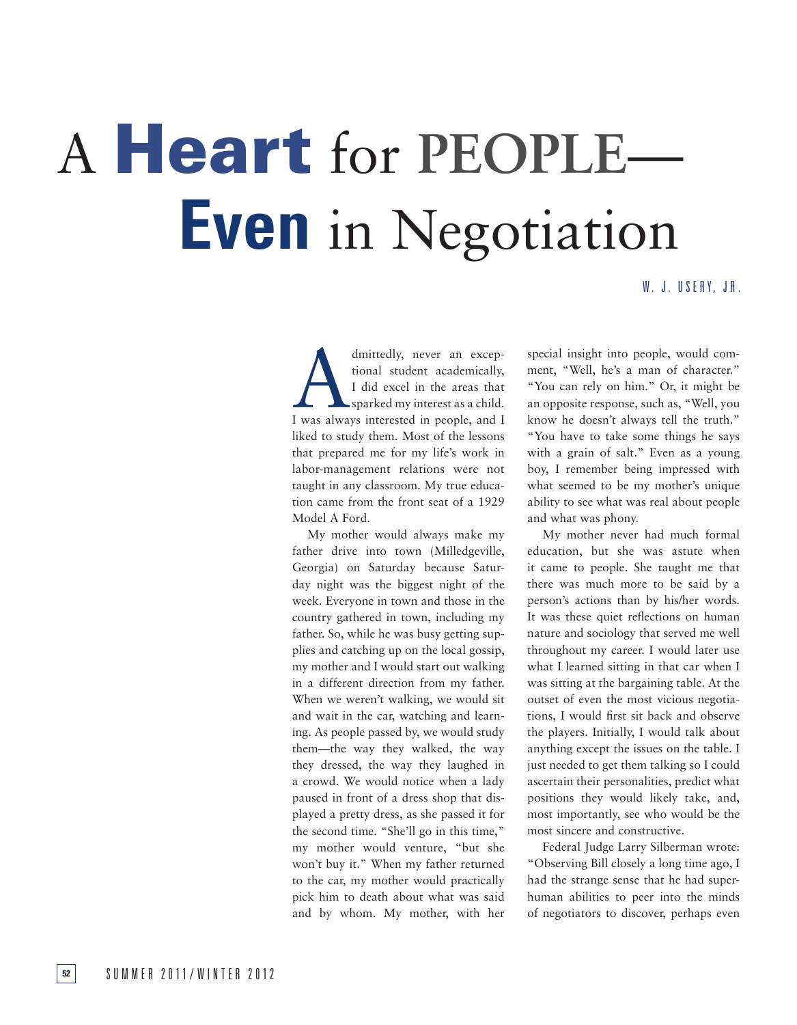# A Heart for **People**— **Even** in Negotiation

# W. J. USERY, JR.

dmittedly, never an exceptional student academically,<br>
I did excel in the areas that<br>
sparked my interest as a child.<br>
I was always interested in people, and I tional student academically, I did excel in the areas that sparked my interest as a child. liked to study them. Most of the lessons that prepared me for my life's work in labor-management relations were not taught in any classroom. My true education came from the front seat of a 1929 Model A Ford.

My mother would always make my father drive into town (Milledgeville, Georgia) on Saturday because Saturday night was the biggest night of the week. Everyone in town and those in the country gathered in town, including my father. So, while he was busy getting supplies and catching up on the local gossip, my mother and I would start out walking in a different direction from my father. When we weren't walking, we would sit and wait in the car, watching and learning. As people passed by, we would study them—the way they walked, the way they dressed, the way they laughed in a crowd. We would notice when a lady paused in front of a dress shop that displayed a pretty dress, as she passed it for the second time. "She'll go in this time," my mother would venture, "but she won't buy it." When my father returned to the car, my mother would practically pick him to death about what was said and by whom. My mother, with her

special insight into people, would comment, "Well, he's a man of character." "You can rely on him." Or, it might be an opposite response, such as, "Well, you know he doesn't always tell the truth." "You have to take some things he says with a grain of salt." Even as a young boy, I remember being impressed with what seemed to be my mother's unique ability to see what was real about people and what was phony.

My mother never had much formal education, but she was astute when it came to people. She taught me that there was much more to be said by a person's actions than by his/her words. It was these quiet reflections on human nature and sociology that served me well throughout my career. I would later use what I learned sitting in that car when I was sitting at the bargaining table. At the outset of even the most vicious negotiations, I would first sit back and observe the players. Initially, I would talk about anything except the issues on the table. I just needed to get them talking so I could ascertain their personalities, predict what positions they would likely take, and, most importantly, see who would be the most sincere and constructive.

Federal Judge Larry Silberman wrote: "Observing Bill closely a long time ago, I had the strange sense that he had superhuman abilities to peer into the minds of negotiators to discover, perhaps even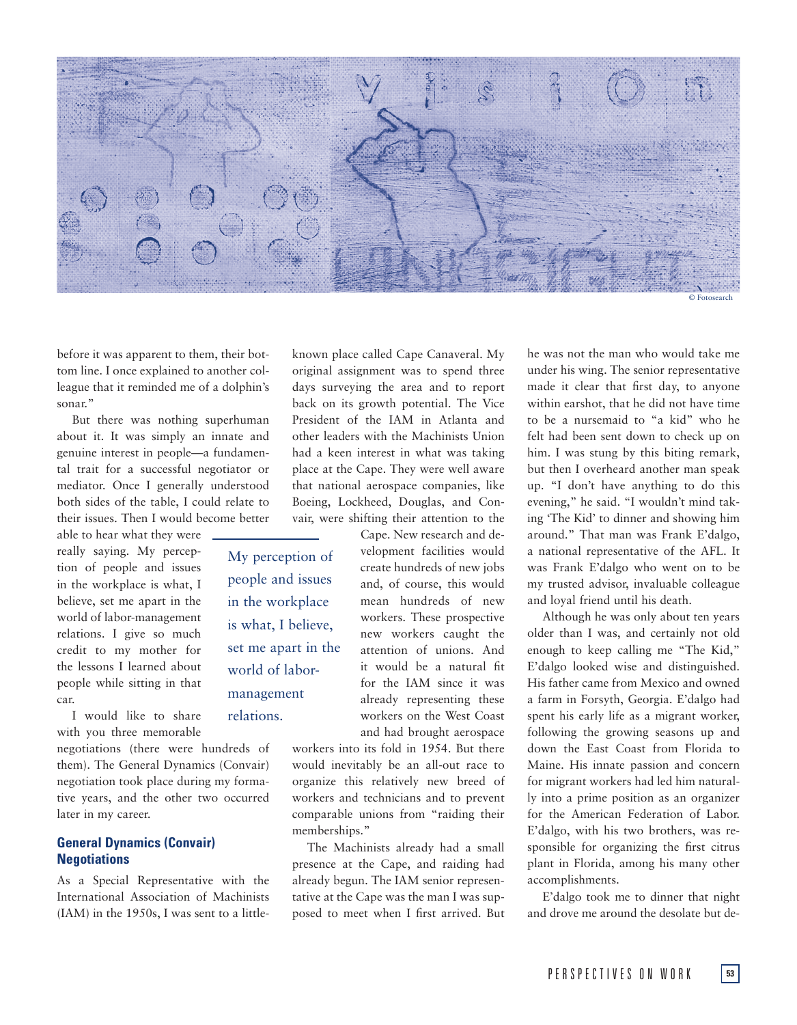

before it was apparent to them, their bottom line. I once explained to another colleague that it reminded me of a dolphin's sonar."

But there was nothing superhuman about it. It was simply an innate and genuine interest in people—a fundamental trait for a successful negotiator or mediator. Once I generally understood both sides of the table, I could relate to their issues. Then I would become better

able to hear what they were really saying. My perception of people and issues in the workplace is what, I believe, set me apart in the world of labor-management relations. I give so much credit to my mother for the lessons I learned about people while sitting in that car.

I would like to share with you three memorable

negotiations (there were hundreds of them). The General Dynamics (Convair) negotiation took place during my formative years, and the other two occurred later in my career.

# **General Dynamics (Convair) Negotiations**

As a Special Representative with the International Association of Machinists (IAM) in the 1950s, I was sent to a littleknown place called Cape Canaveral. My original assignment was to spend three days surveying the area and to report back on its growth potential. The Vice President of the IAM in Atlanta and other leaders with the Machinists Union had a keen interest in what was taking place at the Cape. They were well aware that national aerospace companies, like Boeing, Lockheed, Douglas, and Convair, were shifting their attention to the

Cape. New research and development facilities would create hundreds of new jobs and, of course, this would mean hundreds of new workers. These prospective new workers caught the attention of unions. And it would be a natural fit for the IAM since it was already representing these workers on the West Coast and had brought aerospace My perception of people and issues is what, I believe, set me apart in the

in the workplace

world of labormanagement relations.

> workers into its fold in 1954. But there would inevitably be an all-out race to organize this relatively new breed of workers and technicians and to prevent comparable unions from "raiding their memberships."

> The Machinists already had a small presence at the Cape, and raiding had already begun. The IAM senior representative at the Cape was the man I was supposed to meet when I first arrived. But

he was not the man who would take me under his wing. The senior representative made it clear that first day, to anyone within earshot, that he did not have time to be a nursemaid to "a kid" who he felt had been sent down to check up on him. I was stung by this biting remark, but then I overheard another man speak up. "I don't have anything to do this evening," he said. "I wouldn't mind taking 'The Kid' to dinner and showing him around." That man was Frank E'dalgo, a national representative of the AFL. It was Frank E'dalgo who went on to be my trusted advisor, invaluable colleague and loyal friend until his death.

Although he was only about ten years older than I was, and certainly not old enough to keep calling me "The Kid," E'dalgo looked wise and distinguished. His father came from Mexico and owned a farm in Forsyth, Georgia. E'dalgo had spent his early life as a migrant worker, following the growing seasons up and down the East Coast from Florida to Maine. His innate passion and concern for migrant workers had led him naturally into a prime position as an organizer for the American Federation of Labor. E'dalgo, with his two brothers, was responsible for organizing the first citrus plant in Florida, among his many other accomplishments.

E'dalgo took me to dinner that night and drove me around the desolate but de-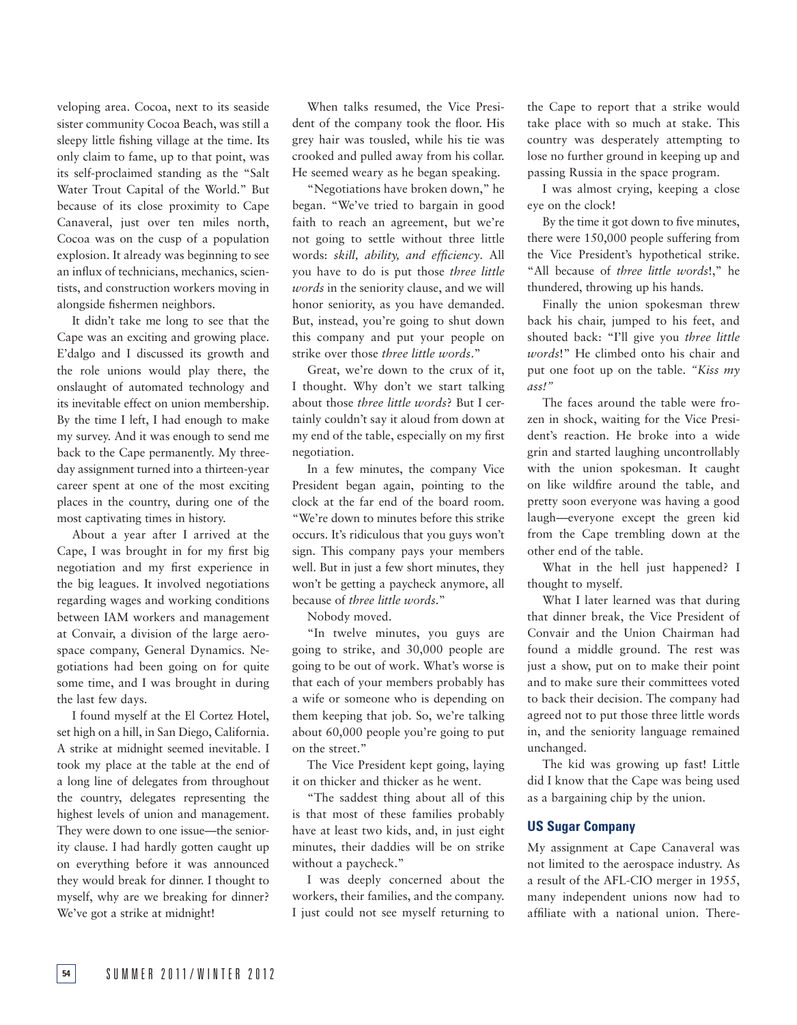veloping area. Cocoa, next to its seaside sister community Cocoa Beach, was still a sleepy little fishing village at the time. Its only claim to fame, up to that point, was its self-proclaimed standing as the "Salt Water Trout Capital of the World." But because of its close proximity to Cape Canaveral, just over ten miles north, Cocoa was on the cusp of a population explosion. It already was beginning to see an influx of technicians, mechanics, scientists, and construction workers moving in alongside fishermen neighbors.

It didn't take me long to see that the Cape was an exciting and growing place. E'dalgo and I discussed its growth and the role unions would play there, the onslaught of automated technology and its inevitable effect on union membership. By the time I left, I had enough to make my survey. And it was enough to send me back to the Cape permanently. My threeday assignment turned into a thirteen-year career spent at one of the most exciting places in the country, during one of the most captivating times in history.

About a year after I arrived at the Cape, I was brought in for my first big negotiation and my first experience in the big leagues. It involved negotiations regarding wages and working conditions between IAM workers and management at Convair, a division of the large aerospace company, General Dynamics. Negotiations had been going on for quite some time, and I was brought in during the last few days.

I found myself at the El Cortez Hotel, set high on a hill, in San Diego, California. A strike at midnight seemed inevitable. I took my place at the table at the end of a long line of delegates from throughout the country, delegates representing the highest levels of union and management. They were down to one issue—the seniority clause. I had hardly gotten caught up on everything before it was announced they would break for dinner. I thought to myself, why are we breaking for dinner? We've got a strike at midnight!

When talks resumed, the Vice President of the company took the floor. His grey hair was tousled, while his tie was crooked and pulled away from his collar. He seemed weary as he began speaking.

"Negotiations have broken down," he began. "We've tried to bargain in good faith to reach an agreement, but we're not going to settle without three little words: *skill, ability, and efficiency*. All you have to do is put those *three little words* in the seniority clause, and we will honor seniority, as you have demanded. But, instead, you're going to shut down this company and put your people on strike over those *three little words*."

Great, we're down to the crux of it, I thought. Why don't we start talking about those *three little words*? But I certainly couldn't say it aloud from down at my end of the table, especially on my first negotiation.

In a few minutes, the company Vice President began again, pointing to the clock at the far end of the board room. "We're down to minutes before this strike occurs. It's ridiculous that you guys won't sign. This company pays your members well. But in just a few short minutes, they won't be getting a paycheck anymore, all because of *three little words*."

Nobody moved.

"In twelve minutes, you guys are going to strike, and 30,000 people are going to be out of work. What's worse is that each of your members probably has a wife or someone who is depending on them keeping that job. So, we're talking about 60,000 people you're going to put on the street."

The Vice President kept going, laying it on thicker and thicker as he went.

"The saddest thing about all of this is that most of these families probably have at least two kids, and, in just eight minutes, their daddies will be on strike without a paycheck."

I was deeply concerned about the workers, their families, and the company. I just could not see myself returning to

the Cape to report that a strike would take place with so much at stake. This country was desperately attempting to lose no further ground in keeping up and passing Russia in the space program.

I was almost crying, keeping a close eye on the clock!

By the time it got down to five minutes, there were 150,000 people suffering from the Vice President's hypothetical strike. "All because of *three little words*!," he thundered, throwing up his hands.

Finally the union spokesman threw back his chair, jumped to his feet, and shouted back: "I'll give you *three little words*!" He climbed onto his chair and put one foot up on the table. *"Kiss my ass!"*

The faces around the table were frozen in shock, waiting for the Vice President's reaction. He broke into a wide grin and started laughing uncontrollably with the union spokesman. It caught on like wildfire around the table, and pretty soon everyone was having a good laugh—everyone except the green kid from the Cape trembling down at the other end of the table.

What in the hell just happened? I thought to myself.

What I later learned was that during that dinner break, the Vice President of Convair and the Union Chairman had found a middle ground. The rest was just a show, put on to make their point and to make sure their committees voted to back their decision. The company had agreed not to put those three little words in, and the seniority language remained unchanged.

The kid was growing up fast! Little did I know that the Cape was being used as a bargaining chip by the union.

### **US Sugar Company**

My assignment at Cape Canaveral was not limited to the aerospace industry. As a result of the AFL-CIO merger in 1955, many independent unions now had to affiliate with a national union. There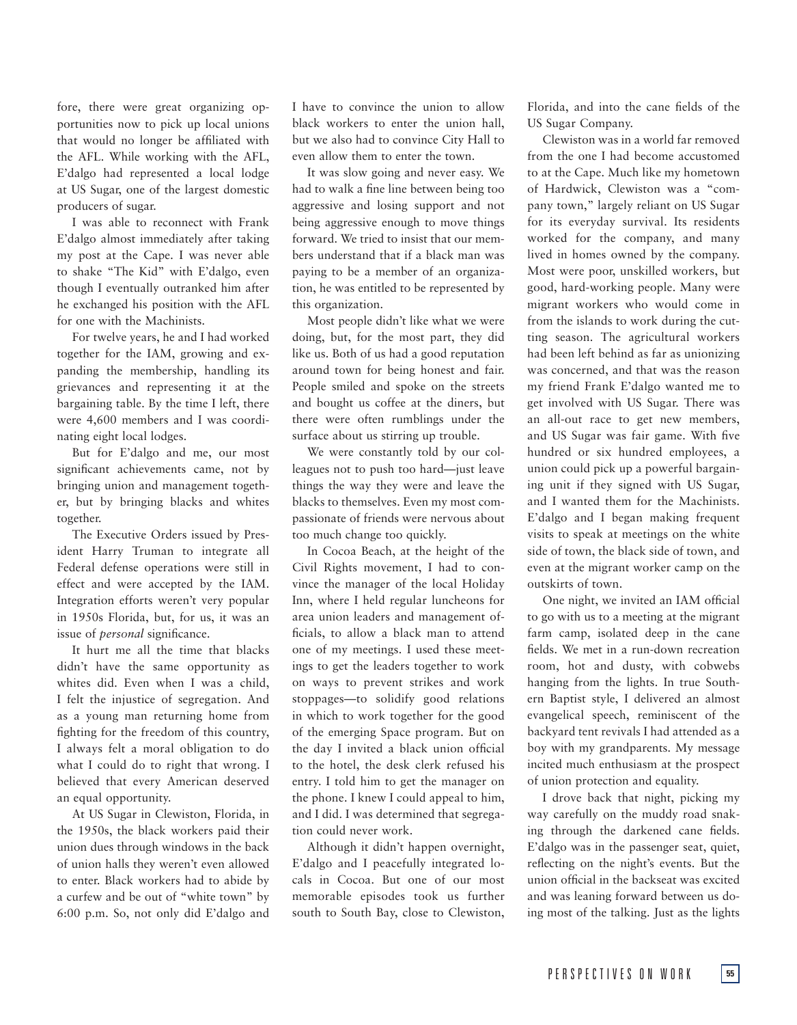fore, there were great organizing opportunities now to pick up local unions that would no longer be affiliated with the AFL. While working with the AFL, E'dalgo had represented a local lodge at US Sugar, one of the largest domestic producers of sugar.

I was able to reconnect with Frank E'dalgo almost immediately after taking my post at the Cape. I was never able to shake "The Kid" with E'dalgo, even though I eventually outranked him after he exchanged his position with the AFL for one with the Machinists.

For twelve years, he and I had worked together for the IAM, growing and expanding the membership, handling its grievances and representing it at the bargaining table. By the time I left, there were 4,600 members and I was coordinating eight local lodges.

But for E'dalgo and me, our most significant achievements came, not by bringing union and management together, but by bringing blacks and whites together.

The Executive Orders issued by President Harry Truman to integrate all Federal defense operations were still in effect and were accepted by the IAM. Integration efforts weren't very popular in 1950s Florida, but, for us, it was an issue of *personal* significance.

It hurt me all the time that blacks didn't have the same opportunity as whites did. Even when I was a child, I felt the injustice of segregation. And as a young man returning home from fighting for the freedom of this country, I always felt a moral obligation to do what I could do to right that wrong. I believed that every American deserved an equal opportunity.

At US Sugar in Clewiston, Florida, in the 1950s, the black workers paid their union dues through windows in the back of union halls they weren't even allowed to enter. Black workers had to abide by a curfew and be out of "white town" by 6:00 p.m. So, not only did E'dalgo and I have to convince the union to allow black workers to enter the union hall, but we also had to convince City Hall to even allow them to enter the town.

It was slow going and never easy. We had to walk a fine line between being too aggressive and losing support and not being aggressive enough to move things forward. We tried to insist that our members understand that if a black man was paying to be a member of an organization, he was entitled to be represented by this organization.

Most people didn't like what we were doing, but, for the most part, they did like us. Both of us had a good reputation around town for being honest and fair. People smiled and spoke on the streets and bought us coffee at the diners, but there were often rumblings under the surface about us stirring up trouble.

We were constantly told by our colleagues not to push too hard—just leave things the way they were and leave the blacks to themselves. Even my most compassionate of friends were nervous about too much change too quickly.

In Cocoa Beach, at the height of the Civil Rights movement, I had to convince the manager of the local Holiday Inn, where I held regular luncheons for area union leaders and management officials, to allow a black man to attend one of my meetings. I used these meetings to get the leaders together to work on ways to prevent strikes and work stoppages—to solidify good relations in which to work together for the good of the emerging Space program. But on the day I invited a black union official to the hotel, the desk clerk refused his entry. I told him to get the manager on the phone. I knew I could appeal to him, and I did. I was determined that segregation could never work.

Although it didn't happen overnight, E'dalgo and I peacefully integrated locals in Cocoa. But one of our most memorable episodes took us further south to South Bay, close to Clewiston, Florida, and into the cane fields of the US Sugar Company.

Clewiston was in a world far removed from the one I had become accustomed to at the Cape. Much like my hometown of Hardwick, Clewiston was a "company town," largely reliant on US Sugar for its everyday survival. Its residents worked for the company, and many lived in homes owned by the company. Most were poor, unskilled workers, but good, hard-working people. Many were migrant workers who would come in from the islands to work during the cutting season. The agricultural workers had been left behind as far as unionizing was concerned, and that was the reason my friend Frank E'dalgo wanted me to get involved with US Sugar. There was an all-out race to get new members, and US Sugar was fair game. With five hundred or six hundred employees, a union could pick up a powerful bargaining unit if they signed with US Sugar, and I wanted them for the Machinists. E'dalgo and I began making frequent visits to speak at meetings on the white side of town, the black side of town, and even at the migrant worker camp on the outskirts of town.

One night, we invited an IAM official to go with us to a meeting at the migrant farm camp, isolated deep in the cane fields. We met in a run-down recreation room, hot and dusty, with cobwebs hanging from the lights. In true Southern Baptist style, I delivered an almost evangelical speech, reminiscent of the backyard tent revivals I had attended as a boy with my grandparents. My message incited much enthusiasm at the prospect of union protection and equality.

I drove back that night, picking my way carefully on the muddy road snaking through the darkened cane fields. E'dalgo was in the passenger seat, quiet, reflecting on the night's events. But the union official in the backseat was excited and was leaning forward between us doing most of the talking. Just as the lights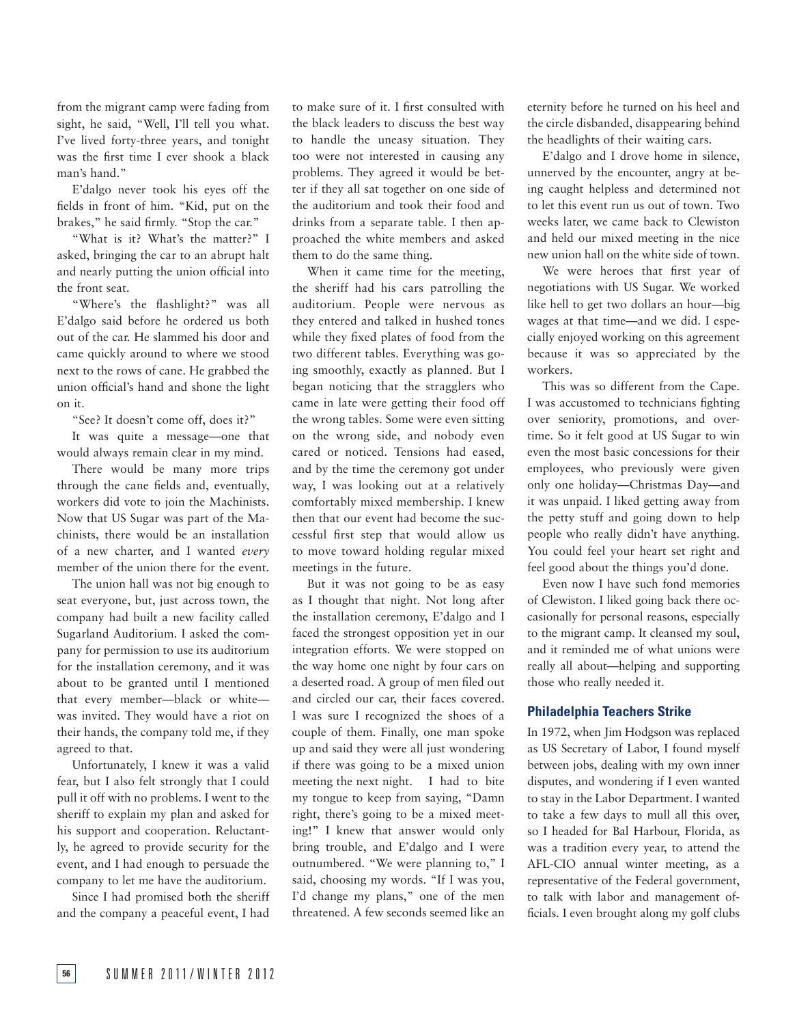from the migrant camp were fading from sight, he said, "Well, I'll tell you what. I've lived forty-three years, and tonight was the first time I ever shook a black man's hand."

E'dalgo never took his eyes off the fields in front of him. "Kid, put on the brakes," he said firmly. "Stop the car."

"What is it? What's the matter?" I asked, bringing the car to an abrupt halt and nearly putting the union official into the front seat.

"Where's the flashlight?" was all E'dalgo said before he ordered us both out of the car. He slammed his door and came quickly around to where we stood next to the rows of cane. He grabbed the union official's hand and shone the light on it.

"See? It doesn't come off, does it?"

It was quite a message—one that would always remain clear in my mind.

There would be many more trips through the cane fields and, eventually, workers did vote to join the Machinists. Now that US Sugar was part of the Machinists, there would be an installation of a new charter, and I wanted *every* member of the union there for the event.

The union hall was not big enough to seat everyone, but, just across town, the company had built a new facility called Sugarland Auditorium. I asked the company for permission to use its auditorium for the installation ceremony, and it was about to be granted until I mentioned that every member—black or white was invited. They would have a riot on their hands, the company told me, if they agreed to that.

Unfortunately, I knew it was a valid fear, but I also felt strongly that I could pull it off with no problems. I went to the sheriff to explain my plan and asked for his support and cooperation. Reluctantly, he agreed to provide security for the event, and I had enough to persuade the company to let me have the auditorium.

Since I had promised both the sheriff and the company a peaceful event, I had to make sure of it. I first consulted with the black leaders to discuss the best way to handle the uneasy situation. They too were not interested in causing any problems. They agreed it would be better if they all sat together on one side of the auditorium and took their food and drinks from a separate table. I then approached the white members and asked them to do the same thing.

When it came time for the meeting, the sheriff had his cars patrolling the auditorium. People were nervous as they entered and talked in hushed tones while they fixed plates of food from the two different tables. Everything was going smoothly, exactly as planned. But I began noticing that the stragglers who came in late were getting their food off the wrong tables. Some were even sitting on the wrong side, and nobody even cared or noticed. Tensions had eased, and by the time the ceremony got under way, I was looking out at a relatively comfortably mixed membership. I knew then that our event had become the successful first step that would allow us to move toward holding regular mixed meetings in the future.

But it was not going to be as easy as I thought that night. Not long after the installation ceremony, E'dalgo and I faced the strongest opposition yet in our integration efforts. We were stopped on the way home one night by four cars on a deserted road. A group of men filed out and circled our car, their faces covered. I was sure I recognized the shoes of a couple of them. Finally, one man spoke up and said they were all just wondering if there was going to be a mixed union meeting the next night. I had to bite my tongue to keep from saying, "Damn right, there's going to be a mixed meeting!" I knew that answer would only bring trouble, and E'dalgo and I were outnumbered. "We were planning to," I said, choosing my words. "If I was you, I'd change my plans," one of the men threatened. A few seconds seemed like an

eternity before he turned on his heel and the circle disbanded, disappearing behind the headlights of their waiting cars.

E'dalgo and I drove home in silence, unnerved by the encounter, angry at being caught helpless and determined not to let this event run us out of town. Two weeks later, we came back to Clewiston and held our mixed meeting in the nice new union hall on the white side of town.

We were heroes that first year of negotiations with US Sugar. We worked like hell to get two dollars an hour—big wages at that time—and we did. I especially enjoyed working on this agreement because it was so appreciated by the workers.

This was so different from the Cape. I was accustomed to technicians fighting over seniority, promotions, and overtime. So it felt good at US Sugar to win even the most basic concessions for their employees, who previously were given only one holiday—Christmas Day—and it was unpaid. I liked getting away from the petty stuff and going down to help people who really didn't have anything. You could feel your heart set right and feel good about the things you'd done.

Even now I have such fond memories of Clewiston. I liked going back there occasionally for personal reasons, especially to the migrant camp. It cleansed my soul, and it reminded me of what unions were really all about—helping and supporting those who really needed it.

# **Philadelphia Teachers Strike**

In 1972, when Jim Hodgson was replaced as US Secretary of Labor, I found myself between jobs, dealing with my own inner disputes, and wondering if I even wanted to stay in the Labor Department. I wanted to take a few days to mull all this over, so I headed for Bal Harbour, Florida, as was a tradition every year, to attend the AFL-CIO annual winter meeting, as a representative of the Federal government, to talk with labor and management officials. I even brought along my golf clubs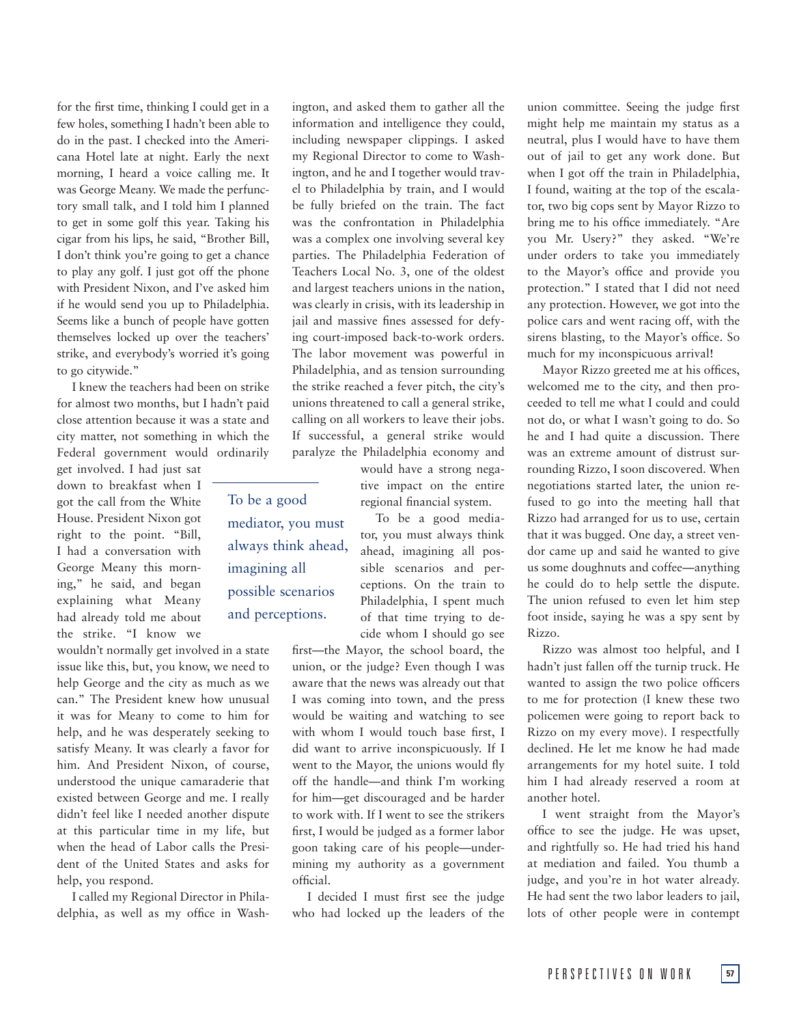for the first time, thinking I could get in a few holes, something I hadn't been able to do in the past. I checked into the Americana Hotel late at night. Early the next morning, I heard a voice calling me. It was George Meany. We made the perfunctory small talk, and I told him I planned to get in some golf this year. Taking his cigar from his lips, he said, "Brother Bill, I don't think you're going to get a chance to play any golf. I just got off the phone with President Nixon, and I've asked him if he would send you up to Philadelphia. Seems like a bunch of people have gotten themselves locked up over the teachers' strike, and everybody's worried it's going to go citywide."

I knew the teachers had been on strike for almost two months, but I hadn't paid close attention because it was a state and city matter, not something in which the Federal government would ordinarily

get involved. I had just sat down to breakfast when I got the call from the White House. President Nixon got right to the point. "Bill, I had a conversation with George Meany this morning," he said, and began explaining what Meany had already told me about the strike. "I know we

wouldn't normally get involved in a state issue like this, but, you know, we need to help George and the city as much as we can." The President knew how unusual it was for Meany to come to him for help, and he was desperately seeking to satisfy Meany. It was clearly a favor for him. And President Nixon, of course, understood the unique camaraderie that existed between George and me. I really didn't feel like I needed another dispute at this particular time in my life, but when the head of Labor calls the President of the United States and asks for help, you respond.

I called my Regional Director in Philadelphia, as well as my office in Washington, and asked them to gather all the information and intelligence they could, including newspaper clippings. I asked my Regional Director to come to Washington, and he and I together would travel to Philadelphia by train, and I would be fully briefed on the train. The fact was the confrontation in Philadelphia was a complex one involving several key parties. The Philadelphia Federation of Teachers Local No. 3, one of the oldest and largest teachers unions in the nation, was clearly in crisis, with its leadership in jail and massive fines assessed for defying court-imposed back-to-work orders. The labor movement was powerful in Philadelphia, and as tension surrounding the strike reached a fever pitch, the city's unions threatened to call a general strike, calling on all workers to leave their jobs. If successful, a general strike would paralyze the Philadelphia economy and

> would have a strong negative impact on the entire regional financial system.

To be a good mediator, you must always think ahead, imagining all possible scenarios and perceptions. On the train to Philadelphia, I spent much of that time trying to decide whom I should go see

first—the Mayor, the school board, the union, or the judge? Even though I was aware that the news was already out that I was coming into town, and the press would be waiting and watching to see with whom I would touch base first, I did want to arrive inconspicuously. If I went to the Mayor, the unions would fly off the handle—and think I'm working for him—get discouraged and be harder to work with. If I went to see the strikers first, I would be judged as a former labor goon taking care of his people—undermining my authority as a government official.

I decided I must first see the judge who had locked up the leaders of the

union committee. Seeing the judge first might help me maintain my status as a neutral, plus I would have to have them out of jail to get any work done. But when I got off the train in Philadelphia, I found, waiting at the top of the escalator, two big cops sent by Mayor Rizzo to bring me to his office immediately. "Are you Mr. Usery?" they asked. "We're under orders to take you immediately to the Mayor's office and provide you protection." I stated that I did not need any protection. However, we got into the police cars and went racing off, with the sirens blasting, to the Mayor's office. So much for my inconspicuous arrival!

Mayor Rizzo greeted me at his offices, welcomed me to the city, and then proceeded to tell me what I could and could not do, or what I wasn't going to do. So he and I had quite a discussion. There was an extreme amount of distrust surrounding Rizzo, I soon discovered. When negotiations started later, the union refused to go into the meeting hall that Rizzo had arranged for us to use, certain that it was bugged. One day, a street vendor came up and said he wanted to give us some doughnuts and coffee—anything he could do to help settle the dispute. The union refused to even let him step foot inside, saying he was a spy sent by Rizzo.

Rizzo was almost too helpful, and I hadn't just fallen off the turnip truck. He wanted to assign the two police officers to me for protection (I knew these two policemen were going to report back to Rizzo on my every move). I respectfully declined. He let me know he had made arrangements for my hotel suite. I told him I had already reserved a room at another hotel.

I went straight from the Mayor's office to see the judge. He was upset, and rightfully so. He had tried his hand at mediation and failed. You thumb a judge, and you're in hot water already. He had sent the two labor leaders to jail, lots of other people were in contempt

To be a good mediator, you must always think ahead, imagining all possible scenarios and perceptions.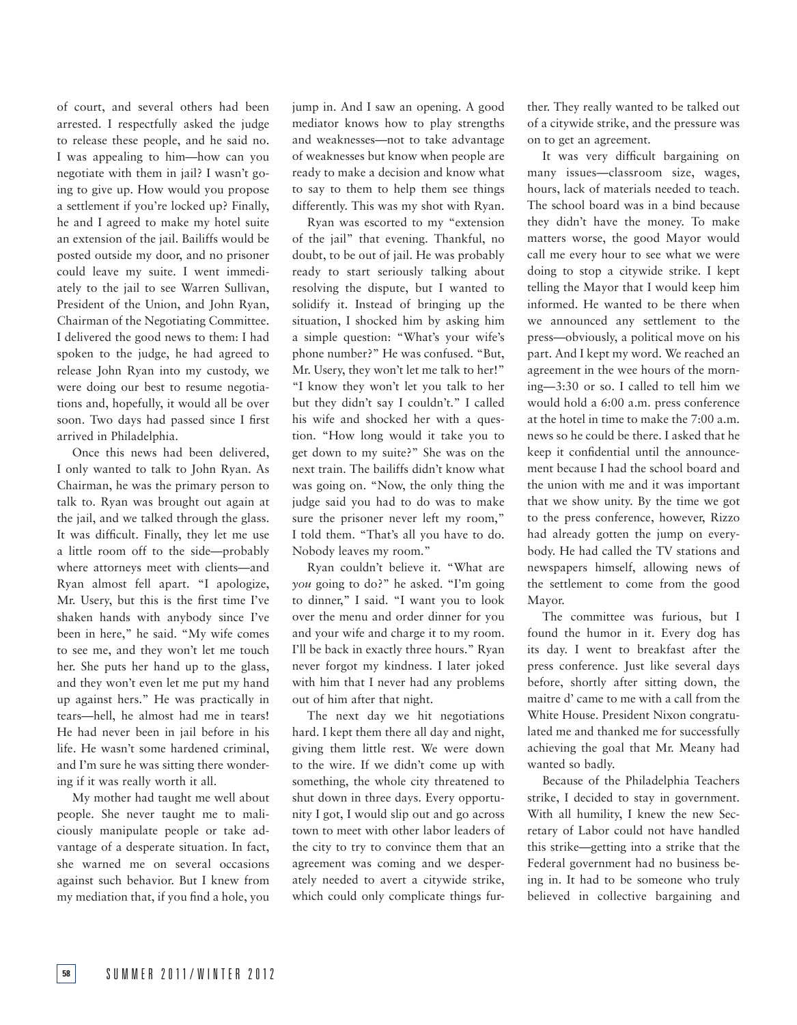of court, and several others had been arrested. I respectfully asked the judge to release these people, and he said no. I was appealing to him—how can you negotiate with them in jail? I wasn't going to give up. How would you propose a settlement if you're locked up? Finally, he and I agreed to make my hotel suite an extension of the jail. Bailiffs would be posted outside my door, and no prisoner could leave my suite. I went immediately to the jail to see Warren Sullivan, President of the Union, and John Ryan, Chairman of the Negotiating Committee. I delivered the good news to them: I had spoken to the judge, he had agreed to release John Ryan into my custody, we were doing our best to resume negotiations and, hopefully, it would all be over soon. Two days had passed since I first arrived in Philadelphia.

Once this news had been delivered, I only wanted to talk to John Ryan. As Chairman, he was the primary person to talk to. Ryan was brought out again at the jail, and we talked through the glass. It was difficult. Finally, they let me use a little room off to the side—probably where attorneys meet with clients—and Ryan almost fell apart. "I apologize, Mr. Usery, but this is the first time I've shaken hands with anybody since I've been in here," he said. "My wife comes to see me, and they won't let me touch her. She puts her hand up to the glass, and they won't even let me put my hand up against hers." He was practically in tears—hell, he almost had me in tears! He had never been in jail before in his life. He wasn't some hardened criminal, and I'm sure he was sitting there wondering if it was really worth it all.

My mother had taught me well about people. She never taught me to maliciously manipulate people or take advantage of a desperate situation. In fact, she warned me on several occasions against such behavior. But I knew from my mediation that, if you find a hole, you jump in. And I saw an opening. A good mediator knows how to play strengths and weaknesses—not to take advantage of weaknesses but know when people are ready to make a decision and know what to say to them to help them see things differently. This was my shot with Ryan.

Ryan was escorted to my "extension of the jail" that evening. Thankful, no doubt, to be out of jail. He was probably ready to start seriously talking about resolving the dispute, but I wanted to solidify it. Instead of bringing up the situation, I shocked him by asking him a simple question: "What's your wife's phone number?" He was confused. "But, Mr. Usery, they won't let me talk to her!" "I know they won't let you talk to her but they didn't say I couldn't." I called his wife and shocked her with a question. "How long would it take you to get down to my suite?" She was on the next train. The bailiffs didn't know what was going on. "Now, the only thing the judge said you had to do was to make sure the prisoner never left my room," I told them. "That's all you have to do. Nobody leaves my room."

Ryan couldn't believe it. "What are *you* going to do?" he asked. "I'm going to dinner," I said. "I want you to look over the menu and order dinner for you and your wife and charge it to my room. I'll be back in exactly three hours." Ryan never forgot my kindness. I later joked with him that I never had any problems out of him after that night.

The next day we hit negotiations hard. I kept them there all day and night, giving them little rest. We were down to the wire. If we didn't come up with something, the whole city threatened to shut down in three days. Every opportunity I got, I would slip out and go across town to meet with other labor leaders of the city to try to convince them that an agreement was coming and we desperately needed to avert a citywide strike, which could only complicate things fur-

ther. They really wanted to be talked out of a citywide strike, and the pressure was on to get an agreement.

It was very difficult bargaining on many issues—classroom size, wages, hours, lack of materials needed to teach. The school board was in a bind because they didn't have the money. To make matters worse, the good Mayor would call me every hour to see what we were doing to stop a citywide strike. I kept telling the Mayor that I would keep him informed. He wanted to be there when we announced any settlement to the press—obviously, a political move on his part. And I kept my word. We reached an agreement in the wee hours of the morning—3:30 or so. I called to tell him we would hold a 6:00 a.m. press conference at the hotel in time to make the 7:00 a.m. news so he could be there. I asked that he keep it confidential until the announcement because I had the school board and the union with me and it was important that we show unity. By the time we got to the press conference, however, Rizzo had already gotten the jump on everybody. He had called the TV stations and newspapers himself, allowing news of the settlement to come from the good Mayor.

The committee was furious, but I found the humor in it. Every dog has its day. I went to breakfast after the press conference. Just like several days before, shortly after sitting down, the maitre d' came to me with a call from the White House. President Nixon congratulated me and thanked me for successfully achieving the goal that Mr. Meany had wanted so badly.

Because of the Philadelphia Teachers strike, I decided to stay in government. With all humility, I knew the new Secretary of Labor could not have handled this strike—getting into a strike that the Federal government had no business being in. It had to be someone who truly believed in collective bargaining and